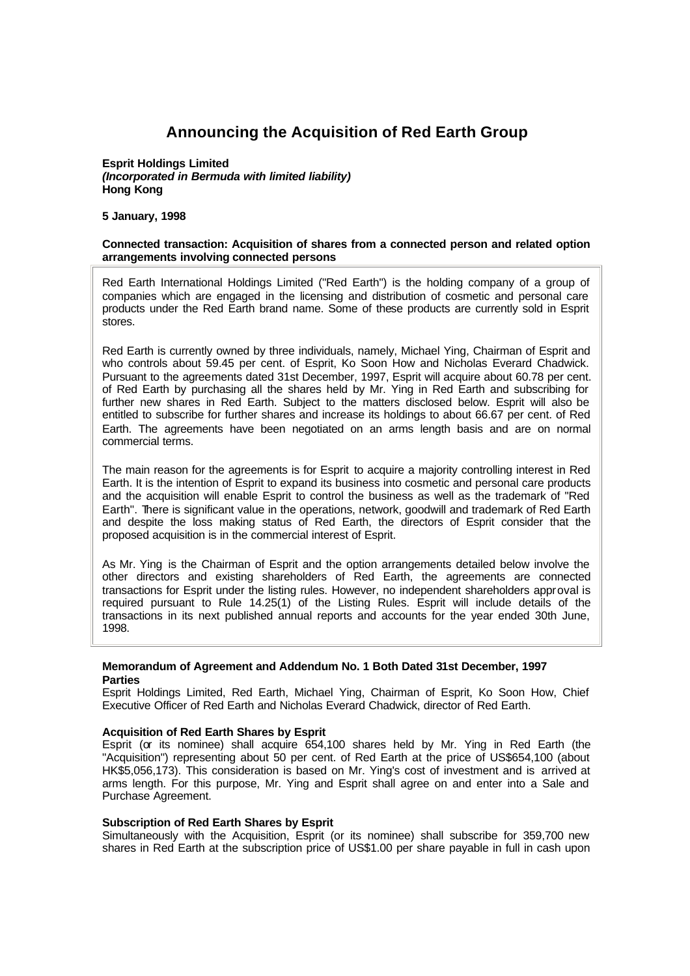# **Announcing the Acquisition of Red Earth Group**

#### **Esprit Holdings Limited** *(Incorporated in Bermuda with limited liability)* **Hong Kong**

**5 January, 1998**

## **Connected transaction: Acquisition of shares from a connected person and related option arrangements involving connected persons**

Red Earth International Holdings Limited ("Red Earth") is the holding company of a group of companies which are engaged in the licensing and distribution of cosmetic and personal care products under the Red Earth brand name. Some of these products are currently sold in Esprit stores.

Red Earth is currently owned by three individuals, namely, Michael Ying, Chairman of Esprit and who controls about 59.45 per cent. of Esprit, Ko Soon How and Nicholas Everard Chadwick. Pursuant to the agreements dated 31st December, 1997, Esprit will acquire about 60.78 per cent. of Red Earth by purchasing all the shares held by Mr. Ying in Red Earth and subscribing for further new shares in Red Earth. Subject to the matters disclosed below. Esprit will also be entitled to subscribe for further shares and increase its holdings to about 66.67 per cent. of Red Earth. The agreements have been negotiated on an arms length basis and are on normal commercial terms.

The main reason for the agreements is for Esprit to acquire a majority controlling interest in Red Earth. It is the intention of Esprit to expand its business into cosmetic and personal care products and the acquisition will enable Esprit to control the business as well as the trademark of "Red Earth". There is significant value in the operations, network, goodwill and trademark of Red Earth and despite the loss making status of Red Earth, the directors of Esprit consider that the proposed acquisition is in the commercial interest of Esprit.

As Mr. Ying is the Chairman of Esprit and the option arrangements detailed below involve the other directors and existing shareholders of Red Earth, the agreements are connected transactions for Esprit under the listing rules. However, no independent shareholders approval is required pursuant to Rule 14.25(1) of the Listing Rules. Esprit will include details of the transactions in its next published annual reports and accounts for the year ended 30th June, 1998.

# **Memorandum of Agreement and Addendum No. 1 Both Dated 31st December, 1997 Parties**

Esprit Holdings Limited, Red Earth, Michael Ying, Chairman of Esprit, Ko Soon How, Chief Executive Officer of Red Earth and Nicholas Everard Chadwick, director of Red Earth.

# **Acquisition of Red Earth Shares by Esprit**

Esprit (or its nominee) shall acquire 654,100 shares held by Mr. Ying in Red Earth (the "Acquisition") representing about 50 per cent. of Red Earth at the price of US\$654,100 (about HK\$5,056,173). This consideration is based on Mr. Ying's cost of investment and is arrived at arms length. For this purpose, Mr. Ying and Esprit shall agree on and enter into a Sale and Purchase Agreement.

# **Subscription of Red Earth Shares by Esprit**

Simultaneously with the Acquisition, Esprit (or its nominee) shall subscribe for 359,700 new shares in Red Earth at the subscription price of US\$1.00 per share payable in full in cash upon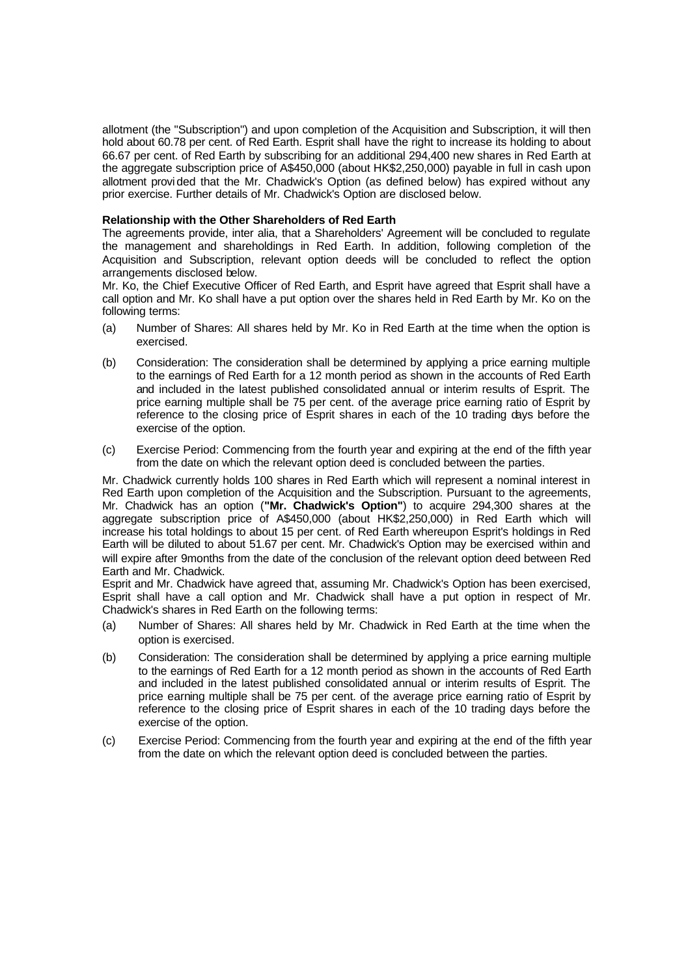allotment (the "Subscription") and upon completion of the Acquisition and Subscription, it will then hold about 60.78 per cent. of Red Earth. Esprit shall have the right to increase its holding to about 66.67 per cent. of Red Earth by subscribing for an additional 294,400 new shares in Red Earth at the aggregate subscription price of A\$450,000 (about HK\$2,250,000) payable in full in cash upon allotment provi ded that the Mr. Chadwick's Option (as defined below) has expired without any prior exercise. Further details of Mr. Chadwick's Option are disclosed below.

## **Relationship with the Other Shareholders of Red Earth**

The agreements provide, inter alia, that a Shareholders' Agreement will be concluded to regulate the management and shareholdings in Red Earth. In addition, following completion of the Acquisition and Subscription, relevant option deeds will be concluded to reflect the option arrangements disclosed below.

Mr. Ko, the Chief Executive Officer of Red Earth, and Esprit have agreed that Esprit shall have a call option and Mr. Ko shall have a put option over the shares held in Red Earth by Mr. Ko on the following terms:

- (a) Number of Shares: All shares held by Mr. Ko in Red Earth at the time when the option is exercised.
- (b) Consideration: The consideration shall be determined by applying a price earning multiple to the earnings of Red Earth for a 12 month period as shown in the accounts of Red Earth and included in the latest published consolidated annual or interim results of Esprit. The price earning multiple shall be 75 per cent. of the average price earning ratio of Esprit by reference to the closing price of Esprit shares in each of the 10 trading days before the exercise of the option.
- (c) Exercise Period: Commencing from the fourth year and expiring at the end of the fifth year from the date on which the relevant option deed is concluded between the parties.

Mr. Chadwick currently holds 100 shares in Red Earth which will represent a nominal interest in Red Earth upon completion of the Acquisition and the Subscription. Pursuant to the agreements, Mr. Chadwick has an option (**"Mr. Chadwick's Option"**) to acquire 294,300 shares at the aggregate subscription price of A\$450,000 (about HK\$2,250,000) in Red Earth which will increase his total holdings to about 15 per cent. of Red Earth whereupon Esprit's holdings in Red Earth will be diluted to about 51.67 per cent. Mr. Chadwick's Option may be exercised within and will expire after 9months from the date of the conclusion of the relevant option deed between Red Earth and Mr. Chadwick.

Esprit and Mr. Chadwick have agreed that, assuming Mr. Chadwick's Option has been exercised, Esprit shall have a call option and Mr. Chadwick shall have a put option in respect of Mr. Chadwick's shares in Red Earth on the following terms:

- (a) Number of Shares: All shares held by Mr. Chadwick in Red Earth at the time when the option is exercised.
- (b) Consideration: The consideration shall be determined by applying a price earning multiple to the earnings of Red Earth for a 12 month period as shown in the accounts of Red Earth and included in the latest published consolidated annual or interim results of Esprit. The price earning multiple shall be 75 per cent. of the average price earning ratio of Esprit by reference to the closing price of Esprit shares in each of the 10 trading days before the exercise of the option.
- (c) Exercise Period: Commencing from the fourth year and expiring at the end of the fifth year from the date on which the relevant option deed is concluded between the parties.